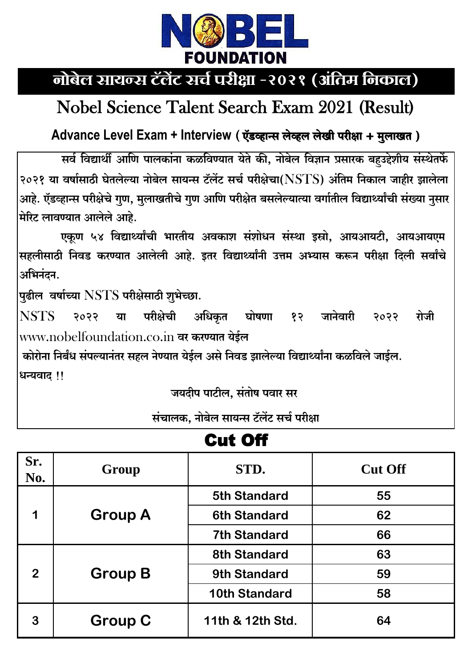

# नोबेल सायन्स टॅलेंट सर्च परीक्षा -२०२१ (अंतिम निकाल)

### **Nobel Science Talent Search Exam 2021 (Result)**

#### Advance Level Exam + Interview (ऍडव्हान्स लेव्हल लेखी परीक्षा + मुलाखत)

सर्व विद्यार्थी आणि पालकांना कळविण्यात येते की, नोबेल विज्ञान प्रसारक बहउद्देशीय संस्थेतर्फे २०२१ या वर्षासाठी घेतलेल्या नोबेल सायन्स टॅलेंट सर्च परीक्षेचा(NSTS) अंतिम निकाल जाहीर झालेला आहे. ऍडव्हान्स परीक्षेचे गुण, मुलाखतीचे गुण आणि परीक्षेत बसलेल्यात्या वर्गातील विद्यार्थ्यांची संख्या नुसार मेरिट लावण्यात आलेले आहे.

एकूण ५४ विद्यार्थ्यांची भारतीय अवकाश संशोधन संस्था इस्रो, आयआयटी, आयआयएम सहलीसाठी निवड करण्यात आलेली आहे. इतर विद्यार्थ्यांनी उत्तम अभ्यास करून परीक्षा दिली सर्वांचे अभिनंदन.

पुढील वर्षाच्या  $\operatorname{NSTS}$  परीक्षेसाठी शुभेच्छा.

परीक्षेची **NSTS** अधिकृत घोषणा १२ जानेवारी  $2033$ या २०२२ रोजी www.nobelfoundation.co.in वर करण्यात येईल

कोरोना निर्बंध संपल्यानंतर सहल नेण्यात येईल असे निवड झालेल्या विद्यार्थ्यांना कळविले जाईल. धन्यवाद !!

जयदीप पाटील, संतोष पवार सर

संचालक, नोबेल सायन्स टॅलेंट सर्च परीक्षा

| Sr.<br>No.   | Group          | STD.                 | <b>Cut Off</b> |  |  |
|--------------|----------------|----------------------|----------------|--|--|
|              |                | <b>5th Standard</b>  | 55             |  |  |
| 1            | <b>Group A</b> | <b>6th Standard</b>  | 62             |  |  |
|              |                | <b>7th Standard</b>  | 66             |  |  |
|              |                | <b>8th Standard</b>  | 63             |  |  |
| $\mathbf{2}$ | <b>Group B</b> | <b>9th Standard</b>  | 59             |  |  |
|              |                | <b>10th Standard</b> | 58             |  |  |
| 3            | <b>Group C</b> | 11th & 12th Std.     | 64             |  |  |

### Cut Off